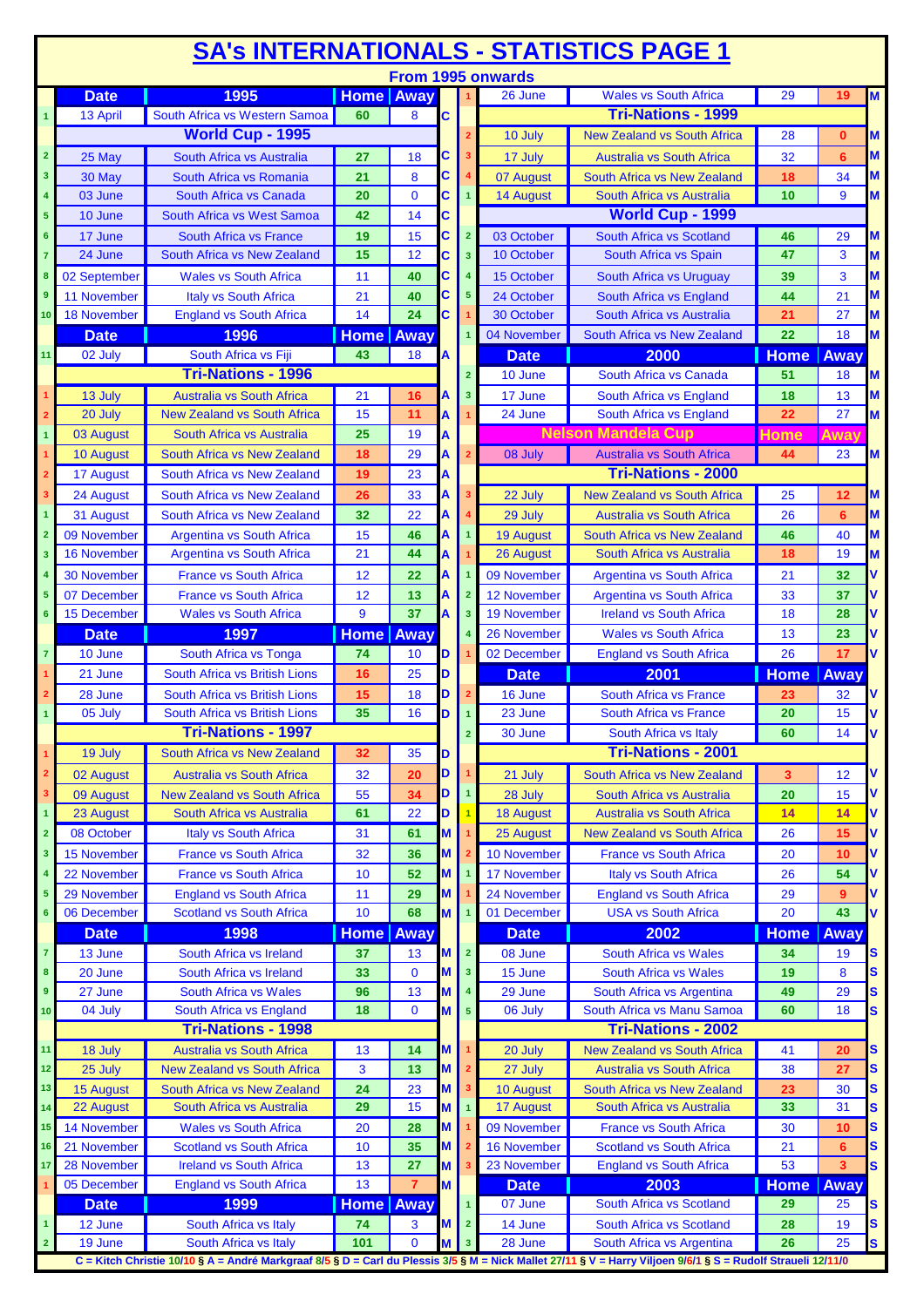|                 |                    |                                                                   |                   |                |   |                         |                        | <b>SA's INTERNATIONALS - STATISTICS PAGE 1</b>                    |                   |                   |        |
|-----------------|--------------------|-------------------------------------------------------------------|-------------------|----------------|---|-------------------------|------------------------|-------------------------------------------------------------------|-------------------|-------------------|--------|
|                 |                    |                                                                   |                   |                |   |                         | From 1995 onwards      |                                                                   |                   |                   |        |
|                 | <b>Date</b>        | 1995                                                              | <b>Home Away</b>  |                |   |                         | 26 June                | <b>Wales vs South Africa</b>                                      | 29                | 19                | M      |
|                 | 13 April           | South Africa vs Western Samoa                                     | 60                | 8              | С |                         |                        | <b>Tri-Nations - 1999</b>                                         |                   |                   |        |
|                 |                    | <b>World Cup - 1995</b>                                           |                   |                |   |                         | 10 July                | <b>New Zealand vs South Africa</b>                                | 28                | $\bf{0}$          | M      |
| $\overline{2}$  | 25 May             | South Africa vs Australia                                         | 27                | 18             | C |                         | 17 July                | <b>Australia vs South Africa</b>                                  | 32                | 6                 | M      |
| 3               | 30 May             | South Africa vs Romania                                           | 21                | 8              | C |                         | 07 August              | South Africa vs New Zealand                                       | 18                | 34                | M      |
|                 | 03 June            | South Africa vs Canada                                            | 20                | $\mathbf 0$    | Ć |                         | 14 August              | South Africa vs Australia                                         | 10                | 9                 | M      |
| 5               | 10 June            | South Africa vs West Samoa                                        | 42                | 14             | C |                         |                        | World Cup - 1999                                                  |                   |                   |        |
| 6               | 17 June            | South Africa vs France                                            | 19                | 15             | c | $\overline{2}$          | 03 October             | South Africa vs Scotland                                          | 46                | 29                | M      |
|                 | 24 June            | South Africa vs New Zealand                                       | 15                | 12             | C | 3                       | 10 October             | South Africa vs Spain                                             | 47                | 3                 | M      |
|                 | 02 September       | <b>Wales vs South Africa</b>                                      | 11                | 40             | C |                         | 15 October             | South Africa vs Uruguay                                           | 39                | 3                 | M      |
| 9               | 11 November        | <b>Italy vs South Africa</b>                                      | 21                | 40             | C | 5                       | 24 October             | South Africa vs England                                           | 44                | 21                | M      |
| 10 <sub>1</sub> | <b>18 November</b> | <b>England vs South Africa</b>                                    | 14                | 24             | C |                         | 30 October             | South Africa vs Australia                                         | 21                | 27                | M      |
|                 | <b>Date</b>        | 1996                                                              | <b>Home Away</b>  |                |   |                         | 04 November            | South Africa vs New Zealand                                       | 22                | 18                | M      |
| 11              | 02 July            | South Africa vs Fiji                                              | 43                | 18             | A |                         | <b>Date</b>            | 2000                                                              | <b>Home</b>       | <b>Away</b>       |        |
|                 |                    | <b>Tri-Nations - 1996</b>                                         |                   |                |   | $\overline{2}$          | 10 June                | South Africa vs Canada                                            | 51                | 18                | M      |
|                 | 13 July            | <b>Australia vs South Africa</b>                                  | 21                | 16             |   | 3                       | 17 June                | South Africa vs England                                           | 18                | 13                | M      |
|                 | 20 July            | <b>New Zealand vs South Africa</b>                                | 15                | 11             |   |                         | 24 June                | South Africa vs England                                           | 22                | 27                | M      |
|                 | 03 August          | South Africa vs Australia                                         | 25                | 19             |   |                         |                        | <b>Nelson Mandela Cup</b>                                         |                   |                   |        |
| 1               |                    |                                                                   |                   |                | Α |                         |                        |                                                                   | Home              | Awav              |        |
|                 | 10 August          | South Africa vs New Zealand                                       | 18                | 29             | A |                         | 08 July                | <b>Australia vs South Africa</b>                                  | 44                | 23                | M      |
| $\overline{2}$  | 17 August          | South Africa vs New Zealand                                       | 19                | 23             | A |                         |                        | <b>Tri-Nations - 2000</b>                                         |                   |                   |        |
| 3               | 24 August          | South Africa vs New Zealand                                       | 26                | 33             |   |                         | 22 July                | <b>New Zealand vs South Africa</b>                                | 25                | 12                | M      |
|                 | 31 August          | South Africa vs New Zealand                                       | 32                | 22             | A |                         | 29 July                | <b>Australia vs South Africa</b>                                  | 26                | 6                 | M      |
| $\overline{2}$  | 09 November        | <b>Argentina vs South Africa</b>                                  | 15                | 46             |   |                         | <b>19 August</b>       | South Africa vs New Zealand                                       | 46                | 40                | M      |
| 3               | <b>16 November</b> | <b>Argentina vs South Africa</b>                                  | 21                | 44             | A |                         | 26 August              | South Africa vs Australia                                         | 18                | 19                | M      |
|                 | <b>30 November</b> | <b>France vs South Africa</b>                                     | 12                | 22             |   |                         | 09 November            | <b>Argentina vs South Africa</b>                                  | 21                | 32                |        |
|                 | 07 December        | <b>France vs South Africa</b>                                     | 12                | 13             |   |                         | 12 November            | <b>Argentina vs South Africa</b>                                  | 33                | 37                |        |
| $6\phantom{a}$  | 15 December        | <b>Wales vs South Africa</b>                                      | 9                 | 37             | A | $\overline{\mathbf{3}}$ | <b>19 November</b>     | <b>Ireland vs South Africa</b>                                    | 18                | 28                |        |
|                 | <b>Date</b>        | 1997                                                              | <b>Home</b> Away  |                |   |                         | 26 November            | <b>Wales vs South Africa</b>                                      | 13                | 23                |        |
| $\overline{7}$  | 10 June            | South Africa vs Tonga                                             | 74                | 10             | D |                         | 02 December            | <b>England vs South Africa</b>                                    | 26                | 17                | V      |
|                 | 21 June            | South Africa vs British Lions                                     | 16                | 25             |   |                         | <b>Date</b>            | 2001                                                              |                   | <b>Away</b>       |        |
|                 |                    |                                                                   |                   |                | D |                         |                        |                                                                   |                   |                   |        |
|                 |                    |                                                                   |                   |                |   |                         |                        |                                                                   | <b>Home</b>       |                   |        |
|                 | 28 June            | South Africa vs British Lions                                     | 15                | 18             | D |                         | 16 June                | <b>South Africa vs France</b>                                     | 23                | 32                |        |
|                 | 05 July            | South Africa vs British Lions                                     | 35                | 16             | D |                         | 23 June                | <b>South Africa vs France</b>                                     | 20                | 15                |        |
|                 |                    | <b>Tri-Nations - 1997</b>                                         |                   |                |   |                         | 30 June                | South Africa vs Italy                                             | 60                | 14                |        |
|                 | 19 July            | South Africa vs New Zealand                                       | 32                | 35             | D |                         |                        | <b>Tri-Nations - 2001</b>                                         |                   |                   |        |
| $\overline{2}$  | 02 August          | <b>Australia vs South Africa</b>                                  | 32                | 20             | D |                         | 21 July                | South Africa vs New Zealand                                       | 3                 | 12                | V      |
| 3               | 09 August          | <b>New Zealand vs South Africa</b>                                | 55                | 34             | D |                         | 28 July                | South Africa vs Australia                                         | 20                | 15                | V      |
|                 | 23 August          | South Africa vs Australia                                         | 61                | 22             | D |                         | <b>18 August</b>       | <b>Australia vs South Africa</b>                                  | 14                | 14                | V      |
| $\overline{2}$  | 08 October         | <b>Italy vs South Africa</b>                                      | 31                | 61             | M |                         | 25 August              | <b>New Zealand vs South Africa</b>                                | 26                | 15                | ٧      |
| 3               | 15 November        | <b>France vs South Africa</b>                                     | 32                | 36             | M |                         | 10 November            | <b>France vs South Africa</b>                                     | 20                | 10                | ۷      |
|                 | 22 November        | <b>France vs South Africa</b>                                     | 10                | 52             | M |                         | <b>17 November</b>     | <b>Italy vs South Africa</b>                                      | 26                | 54                | V      |
| 5               | 29 November        | <b>England vs South Africa</b>                                    | 11                | 29             | M |                         | 24 November            | <b>England vs South Africa</b>                                    | 29                | 9                 | ۷      |
| $6\phantom{1}$  | 06 December        | <b>Scotland vs South Africa</b>                                   | 10                | 68             | M |                         | 01 December            | <b>USA vs South Africa</b>                                        | 20                | 43                | V      |
|                 | <b>Date</b>        | 1998                                                              | <b>Home Away</b>  |                |   |                         | <b>Date</b>            | 2002                                                              | <b>Home</b>       | <b>Away</b>       |        |
| $\overline{7}$  | 13 June            | South Africa vs Ireland                                           | 37                | 13             | M | $\overline{2}$          | 08 June                | South Africa vs Wales                                             | 34                | 19                | S      |
| 8               | 20 June            | South Africa vs Ireland                                           | 33                | $\bf{0}$       | М | 3                       | 15 June                | South Africa vs Wales                                             | 19                | 8                 | S      |
| $\overline{9}$  | 27 June            | <b>South Africa vs Wales</b>                                      | 96                | 13             |   |                         | 29 June                | South Africa vs Argentina                                         | 49                | 29                | S      |
| 10 <sub>1</sub> | 04 July            | South Africa vs England                                           | 18                | $\mathbf{0}$   |   | $5\phantom{1}$          | 06 July                | South Africa vs Manu Samoa                                        | 60                | 18                | S      |
|                 |                    | <b>Tri-Nations - 1998</b>                                         |                   |                |   |                         |                        | <b>Tri-Nations - 2002</b>                                         |                   |                   |        |
| 11              | 18 July            | <b>Australia vs South Africa</b>                                  | 13                | 14             | M |                         | 20 July                | <b>New Zealand vs South Africa</b>                                | 41                | 20                | S      |
| 12              | 25 July            | <b>New Zealand vs South Africa</b>                                | 3                 | 13             | M |                         | 27 July                | <b>Australia vs South Africa</b>                                  | 38                | 27                | S      |
| 13              | <b>15 August</b>   | South Africa vs New Zealand                                       | 24                | 23             | M |                         | 10 August              | South Africa vs New Zealand                                       | 23                | 30                | S      |
| 14              | 22 August          | South Africa vs Australia                                         | 29                | 15             | M |                         | 17 August              | South Africa vs Australia                                         | 33                | 31                | S      |
| 15              | <b>14 November</b> | <b>Wales vs South Africa</b>                                      | 20                | 28             | M |                         | 09 November            | <b>France vs South Africa</b>                                     | 30                | 10                | S      |
| 16              | 21 November        |                                                                   | 10                |                | M |                         | 16 November            |                                                                   |                   | 6                 | S      |
| 17 <sub>2</sub> | 28 November        | <b>Scotland vs South Africa</b><br><b>Ireland vs South Africa</b> | 13                | 35<br>27       | M |                         | 23 November            | <b>Scotland vs South Africa</b><br><b>England vs South Africa</b> | 21<br>53          | 3                 | S      |
|                 | 05 December        | <b>England vs South Africa</b>                                    | 13                | $\overline{7}$ | M |                         |                        | 2003                                                              |                   |                   |        |
|                 |                    |                                                                   |                   |                |   |                         | <b>Date</b><br>07 June | South Africa vs Scotland                                          | <b>Home</b><br>29 | <b>Away</b><br>25 |        |
|                 | <b>Date</b>        | 1999                                                              | Home   Away<br>74 | 3              |   | $\overline{2}$          |                        |                                                                   | 28                | 19                | S<br>S |
| 2 <sup>1</sup>  | 12 June<br>19 June | South Africa vs Italy<br>South Africa vs Italy                    | 101               | $\mathbf 0$    |   | $\overline{\mathbf{3}}$ | 14 June<br>28 June     | South Africa vs Scotland<br>South Africa vs Argentina             | 26                | 25                | S      |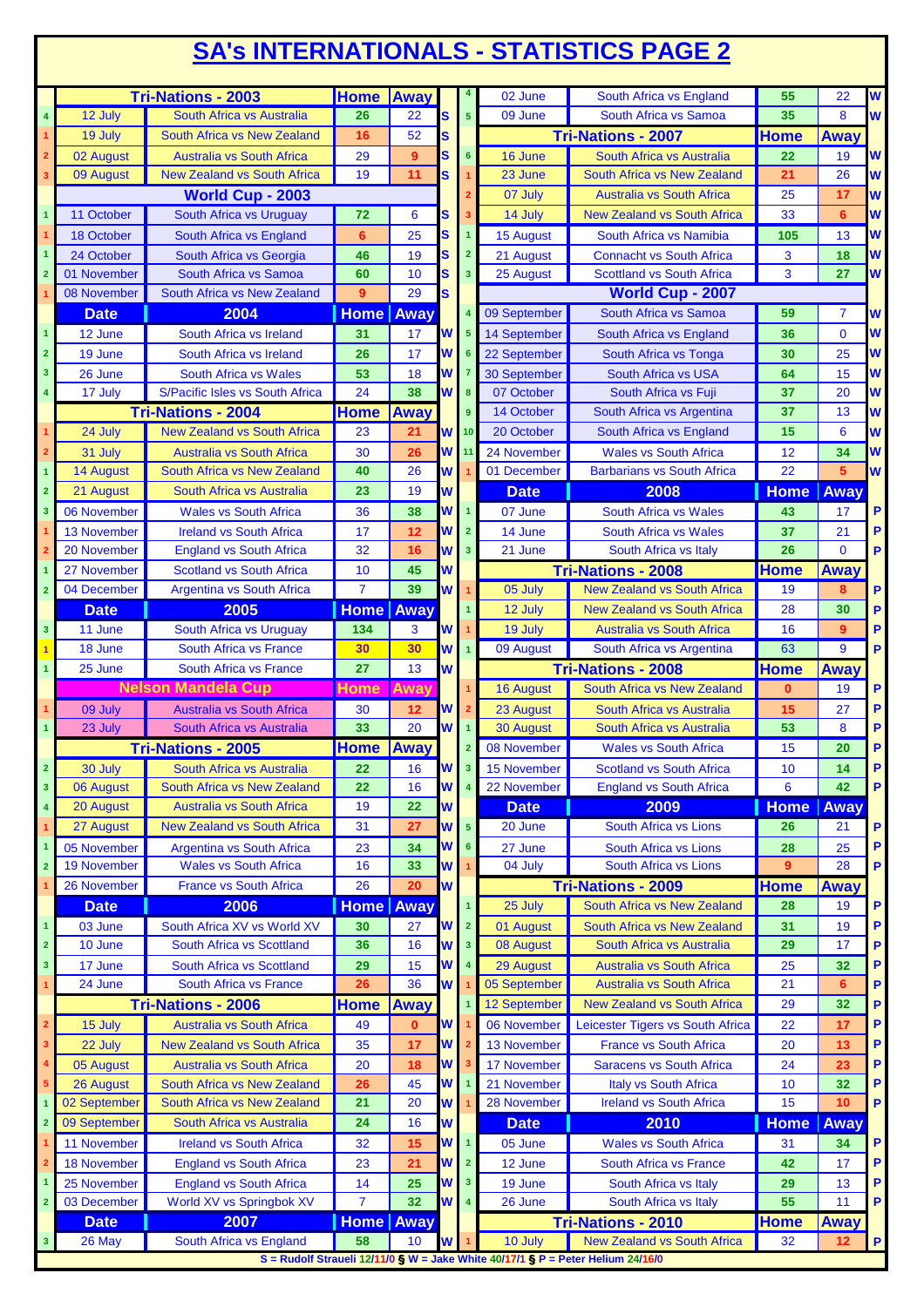## **SA's INTERNATIONALS - STATISTICS PAGE 2**

|                         |                    | <b>Tri-Nations - 2003</b>                                       | <b>Home Away</b>   |              |          |                         | 02 June             | South Africa vs England                                                         | 55           | 22             | W              |
|-------------------------|--------------------|-----------------------------------------------------------------|--------------------|--------------|----------|-------------------------|---------------------|---------------------------------------------------------------------------------|--------------|----------------|----------------|
| $\overline{\mathbf{4}}$ | 12 July            | South Africa vs Australia                                       | 26                 | 22           | s        | 5                       | 09 June             | South Africa vs Samoa                                                           | 35           | 8              | W              |
| $\mathbf{1}$            | 19 July            | South Africa vs New Zealand                                     | 16                 | 52           | S        |                         |                     | <b>Tri-Nations - 2007</b>                                                       | <b>Home</b>  | <b>Away</b>    |                |
| $\overline{\mathbf{2}}$ | 02 August          | <b>Australia vs South Africa</b>                                | 29                 | 9            | s        | $6\phantom{1}$          | 16 June             | South Africa vs Australia                                                       | 22           | 19             | W              |
| 3                       | 09 August          | <b>New Zealand vs South Africa</b>                              | 19                 | 11           | S.       |                         | 23 June             | South Africa vs New Zealand                                                     | 21           | 26             | W              |
|                         |                    | World Cup - 2003                                                |                    |              |          |                         | 07 July             | <b>Australia vs South Africa</b>                                                | 25           | 17             | W              |
| $\overline{\mathbf{1}}$ | 11 October         | South Africa vs Uruguay                                         | 72                 | 6            | s        |                         | 14 July             | <b>New Zealand vs South Africa</b>                                              | 33           | 6              | W              |
|                         | 18 October         | South Africa vs England                                         | 6                  | 25           | s        | 1                       | 15 August           | South Africa vs Namibia                                                         | 105          | 13             | W              |
| $\overline{1}$          | 24 October         | South Africa vs Georgia                                         | 46                 | 19           | S        | $\overline{2}$          | 21 August           | <b>Connacht vs South Africa</b>                                                 | 3            | 18             | W              |
| $\overline{2}$          | 01 November        | <b>South Africa vs Samoa</b>                                    | 60                 | 10           | S        | $\overline{3}$          | 25 August           | <b>Scottland vs South Africa</b>                                                | 3            | 27             | W              |
|                         | 08 November        | South Africa vs New Zealand                                     | 9                  | 29           | S.       |                         |                     | <b>World Cup - 2007</b>                                                         |              |                |                |
|                         | <b>Date</b>        | 2004                                                            | <b>Home</b> Away   |              |          |                         | 09 September        | South Africa vs Samoa                                                           | 59           | 7              | W              |
| $\overline{1}$          |                    |                                                                 |                    |              | W        | 5                       |                     |                                                                                 |              | $\overline{0}$ | W              |
| $\overline{\mathbf{2}}$ | 12 June            | South Africa vs Ireland                                         | 31                 | 17           | W        | 6                       | 14 September        | South Africa vs England                                                         | 36           |                | W              |
|                         | 19 June            | South Africa vs Ireland                                         | 26                 | 17           |          |                         | 22 September        | South Africa vs Tonga                                                           | 30           | 25             | W              |
| 3                       | 26 June            | <b>South Africa vs Wales</b><br>S/Pacific Isles vs South Africa | 53<br>24           | 18<br>38     | W        |                         | <b>30 September</b> | <b>South Africa vs USA</b>                                                      | 64<br>37     | 15<br>20       | W              |
| 4                       | 17 July            |                                                                 |                    |              | W        | 8                       | 07 October          | South Africa vs Fuji                                                            |              |                |                |
|                         |                    | <b>Tri-Nations - 2004</b>                                       | <b>Home</b>        | <b>Away</b>  |          | 9                       | 14 October          | South Africa vs Argentina                                                       | 37           | 13             | W              |
|                         | 24 July            | <b>New Zealand vs South Africa</b>                              | 23                 | 21           | W        | 10                      | 20 October          | <b>South Africa vs England</b>                                                  | 15           | 6              | W              |
| $\overline{\mathbf{2}}$ | 31 July            | <b>Australia vs South Africa</b>                                | 30                 | 26           | W        | 11                      | 24 November         | <b>Wales vs South Africa</b>                                                    | 12           | 34             | W              |
| $\mathbf{1}$            | <b>14 August</b>   | South Africa vs New Zealand                                     | 40                 | 26           | W        |                         | 01 December         | <b>Barbarians vs South Africa</b>                                               | 22           | 5              | W              |
| $\overline{2}$          | 21 August          | South Africa vs Australia                                       | 23                 | 19           | W        |                         | <b>Date</b>         | 2008                                                                            | <b>Home</b>  | Away           |                |
| 3                       | 06 November        | <b>Wales vs South Africa</b>                                    | 36                 | 38           | W        | $\overline{1}$          | 07 June             | South Africa vs Wales                                                           | 43           | 17             | P              |
|                         | <b>13 November</b> | <b>Ireland vs South Africa</b>                                  | 17                 | 12           | W        | $\overline{2}$          | 14 June             | South Africa vs Wales                                                           | 37           | 21             | P              |
| $\overline{2}$          | 20 November        | <b>England vs South Africa</b>                                  | 32                 | 16           | W        | $\overline{\mathbf{3}}$ | 21 June             | South Africa vs Italy                                                           | 26           | $\Omega$       | P              |
| $\mathbf{1}$            | 27 November        | <b>Scotland vs South Africa</b>                                 | 10                 | 45           | W        |                         |                     | <b>Tri-Nations - 2008</b>                                                       | Home         | <b>Away</b>    |                |
| $\overline{\mathbf{2}}$ | 04 December        | <b>Argentina vs South Africa</b>                                | $\overline{7}$     | 39           | W        |                         | 05 July             | <b>New Zealand vs South Africa</b>                                              | 19           | 8              | P              |
|                         | <b>Date</b>        | 2005                                                            | <b>Home</b> Away   |              |          |                         | 12 July             | <b>New Zealand vs South Africa</b>                                              | 28           | 30             | P              |
| $\overline{\mathbf{3}}$ | 11 June            | South Africa vs Uruguay                                         | 134                | 3            | W        |                         | 19 July             | <b>Australia vs South Africa</b>                                                | 16           | 9              | P              |
| $\overline{1}$          | 18 June            | South Africa vs France                                          | 30                 | 30           | W        | $\overline{1}$          | 09 August           | South Africa vs Argentina                                                       | 63           | 9              | P              |
| $\overline{1}$          | 25 June            | South Africa vs France                                          | 27                 | 13           | W        |                         |                     | <b>Tri-Nations - 2008</b>                                                       | <b>Home</b>  | Away           |                |
|                         |                    | <b>Nelson Mandela Cup</b>                                       | Home               | Away         |          |                         | <b>16 August</b>    | South Africa vs New Zealand                                                     | $\mathbf{0}$ | 19             | P              |
|                         | 09 July            | <b>Australia vs South Africa</b>                                | 30                 | 12           | W        |                         | 23 August           | South Africa vs Australia                                                       | 15           | 27             | P              |
| $\blacktriangleleft$    | 23 July            | South Africa vs Australia                                       | 33                 | 20           | W        | $\blacktriangleleft$    | <b>30 August</b>    | South Africa vs Australia                                                       | 53           | 8              | P              |
|                         |                    | <b>Tri-Nations - 2005</b>                                       | <b>Home Away</b>   |              |          |                         | 08 November         | <b>Wales vs South Africa</b>                                                    | 15           | 20             | P              |
| $\overline{2}$          | 30 July            | South Africa vs Australia                                       | 22                 | 16           | <b>W</b> | 3 <sup>1</sup>          | 15 November         | <b>Scotland vs South Africa</b>                                                 | 10           | 14             | P              |
| $\overline{\mathbf{3}}$ | 06 August          | South Africa vs New Zealand                                     | 22                 | 16           | W        | $\overline{\mathbf{4}}$ | 22 November         | <b>England vs South Africa</b>                                                  | 6            | 42             | P              |
| $\overline{\mathbf{4}}$ | 20 August          | <b>Australia vs South Africa</b>                                | 19                 | 22           | W        |                         | <b>Date</b>         | 2009                                                                            | <b>Home</b>  | <b>Away</b>    |                |
| $\mathbf{1}$            | 27 August          | <b>New Zealand vs South Africa</b>                              | 31                 | 27           | W        | 5 <sup>1</sup>          | 20 June             | South Africa vs Lions                                                           | 26           | 21             | P              |
| $\mathbf{1}$            | 05 November        | <b>Argentina vs South Africa</b>                                | 23                 | 34           | W        | 6                       | 27 June             | South Africa vs Lions                                                           | 28           | 25             | P              |
| $\overline{\mathbf{2}}$ | 19 November        | <b>Wales vs South Africa</b>                                    | 16                 | 33           | W        |                         | 04 July             | South Africa vs Lions                                                           | 9            | 28             | P              |
|                         | 26 November        | <b>France vs South Africa</b>                                   | 26                 | 20           | W        |                         |                     |                                                                                 |              |                |                |
|                         |                    |                                                                 |                    |              |          |                         |                     | <b>Tri-Nations - 2009</b>                                                       | <b>Home</b>  | <b>Away</b>    |                |
|                         | <b>Date</b>        | 2006                                                            | <b>Home Away</b>   |              |          | 1                       | 25 July             | South Africa vs New Zealand                                                     | 28           | 19             | P              |
| $\overline{\mathbf{1}}$ | 03 June            | South Africa XV vs World XV                                     | 30                 | 27           | W        | $\overline{2}$          | 01 August           | South Africa vs New Zealand                                                     | 31           | 19             | P              |
| $\mathbf 2$             | 10 June            | South Africa vs Scottland                                       | 36                 | 16           | W        | $\overline{\mathbf{3}}$ | 08 August           | South Africa vs Australia                                                       | 29           | 17             | P              |
| $\overline{\mathbf{3}}$ | 17 June            | South Africa vs Scottland                                       | 29                 | 15           | W        | 4                       | 29 August           | <b>Australia vs South Africa</b>                                                | 25           | 32             | P              |
| $\mathbf{1}$            | 24 June            | South Africa vs France                                          | 26                 | 36           | W        |                         | 05 September        | <b>Australia vs South Africa</b>                                                | 21           | 6              | P              |
|                         |                    | <b>Tri-Nations - 2006</b>                                       | <b>Home</b>        | <b>Away</b>  |          |                         | 12 September        | <b>New Zealand vs South Africa</b>                                              | 29           | 32             | $\overline{P}$ |
| $\overline{\mathbf{2}}$ | 15 July            | <b>Australia vs South Africa</b>                                | 49                 | $\mathbf{0}$ | W        |                         | 06 November         | Leicester Tigers vs South Africa                                                | 22           | 17             | P              |
| 3                       | 22 July            | <b>New Zealand vs South Africa</b>                              | 35                 | 17           | W        |                         | <b>13 November</b>  | <b>France vs South Africa</b>                                                   | 20           | 13             | P              |
| 4                       | 05 August          | <b>Australia vs South Africa</b>                                | 20                 | 18           | W        |                         | <b>17 November</b>  | <b>Saracens vs South Africa</b>                                                 | 24           | 23             | P              |
| $\sqrt{5}$              | 26 August          | South Africa vs New Zealand                                     | 26                 | 45           | W        |                         | 21 November         | Italy vs South Africa                                                           | 10           | 32             | P              |
| $\overline{1}$          | 02 September       | South Africa vs New Zealand                                     | 21                 | 20           | W        |                         | 28 November         | <b>Ireland vs South Africa</b>                                                  | 15           | 10             | P              |
| $\overline{2}$          | 09 September       | South Africa vs Australia                                       | 24                 | 16           | W        |                         | <b>Date</b>         | 2010                                                                            | <b>Home</b>  | Away           |                |
|                         | 11 November        | <b>Ireland vs South Africa</b>                                  | 32                 | 15           | W        | $\overline{\mathbf{1}}$ | 05 June             | <b>Wales vs South Africa</b>                                                    | 31           | 34             | P              |
| $\mathbf{2}$            | <b>18 November</b> | <b>England vs South Africa</b>                                  | 23                 | 21           | W        | $\overline{2}$          | 12 June             | South Africa vs France                                                          | 42           | 17             | P              |
|                         | 25 November        | <b>England vs South Africa</b>                                  | 14                 | 25           | W        | $\overline{\mathbf{3}}$ | 19 June             | South Africa vs Italy                                                           | 29           | 13             | P              |
| $\overline{\mathbf{2}}$ | 03 December        | World XV vs Springbok XV                                        | $\overline{7}$     | 32           | W        | $\overline{\mathbf{4}}$ | 26 June             | South Africa vs Italy                                                           | 55           | 11             | P              |
|                         | <b>Date</b>        | 2007                                                            | <b>Home   Away</b> |              |          |                         |                     | <b>Tri-Nations - 2010</b>                                                       | <b>Home</b>  | <b>Away</b>    |                |
| $\mathbf{3}$            | 26 May             | South Africa vs England                                         | 58                 | 10           | W        |                         | 10 July             | <b>New Zealand vs South Africa</b>                                              | 32           | 12             | $\mathsf P$    |
|                         |                    |                                                                 |                    |              |          |                         |                     | S = Rudolf Straueli 12/11/0 § W = Jake White 40/17/1 § P = Peter Helium 24/16/0 |              |                |                |